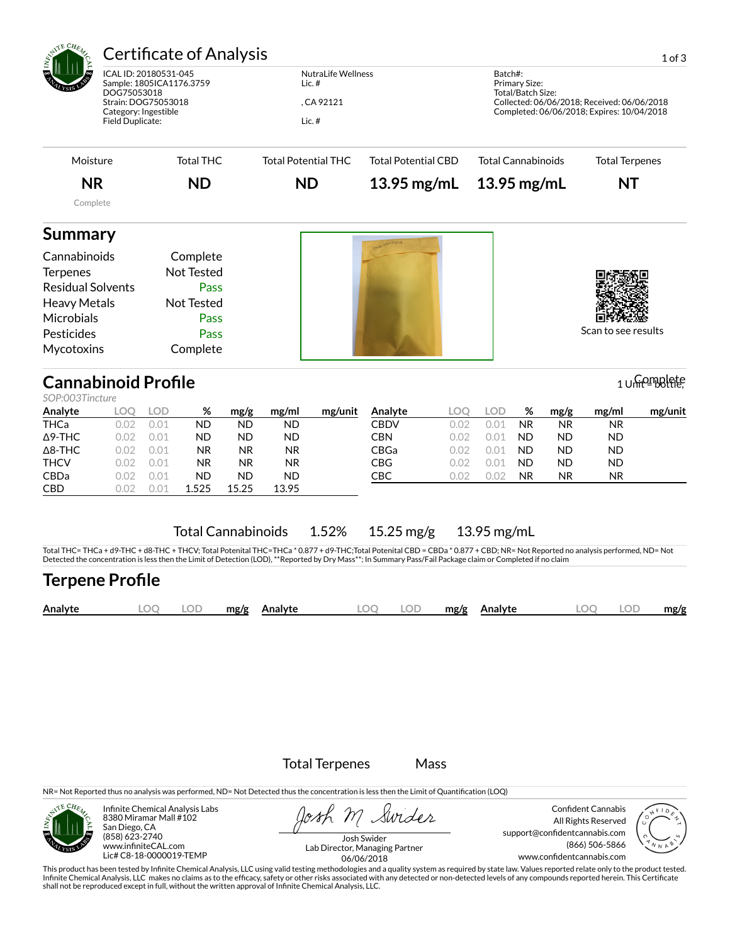| <b>Certificate of Analysis</b><br>ICAL ID: 20180531-045<br>Sample: 1805ICA1176.3759<br>DOG75053018<br>Strain: DOG75053018<br>Category: Ingestible<br>Field Duplicate:                 |                                                            |                                                     |                                                                                 |                                                                                | <b>NutraLife Wellness</b><br>Lic. $#$<br>, CA 92121<br>Lic. $#$          |                       |                                                                   |                                                    |                                                    | 1 of 3<br>Batch#:<br>Primary Size:<br>Total/Batch Size:<br>Collected: 06/06/2018; Received: 06/06/2018<br>Completed: 06/06/2018; Expires: 10/04/2018 |                                                                       |                                                                  |               |  |  |
|---------------------------------------------------------------------------------------------------------------------------------------------------------------------------------------|------------------------------------------------------------|-----------------------------------------------------|---------------------------------------------------------------------------------|--------------------------------------------------------------------------------|--------------------------------------------------------------------------|-----------------------|-------------------------------------------------------------------|----------------------------------------------------|----------------------------------------------------|------------------------------------------------------------------------------------------------------------------------------------------------------|-----------------------------------------------------------------------|------------------------------------------------------------------|---------------|--|--|
| Moisture                                                                                                                                                                              |                                                            |                                                     | <b>Total THC</b>                                                                |                                                                                | <b>Total Potential THC</b><br><b>Total Potential CBD</b>                 |                       |                                                                   |                                                    | <b>Total Cannabinoids</b>                          |                                                                                                                                                      |                                                                       | <b>Total Terpenes</b>                                            |               |  |  |
| <b>NR</b>                                                                                                                                                                             |                                                            |                                                     | <b>ND</b>                                                                       |                                                                                |                                                                          | <b>ND</b>             |                                                                   | 13.95 mg/mL                                        | 13.95 mg/mL                                        |                                                                                                                                                      |                                                                       | <b>NT</b>                                                        |               |  |  |
| Complete                                                                                                                                                                              |                                                            |                                                     |                                                                                 |                                                                                |                                                                          |                       |                                                                   |                                                    |                                                    |                                                                                                                                                      |                                                                       |                                                                  |               |  |  |
| <b>Summary</b><br>Cannabinoids<br><b>Terpenes</b><br><b>Residual Solvents</b><br><b>Heavy Metals</b><br>Microbials<br>Pesticides<br>Mycotoxins                                        |                                                            |                                                     | Complete<br><b>Not Tested</b><br>Pass<br>Not Tested<br>Pass<br>Pass<br>Complete |                                                                                |                                                                          |                       |                                                                   |                                                    |                                                    |                                                                                                                                                      |                                                                       | Scan to see results                                              |               |  |  |
| <b>Cannabinoid Profile</b>                                                                                                                                                            |                                                            |                                                     |                                                                                 |                                                                                |                                                                          |                       |                                                                   |                                                    |                                                    |                                                                                                                                                      |                                                                       |                                                                  | 1 Unicomplete |  |  |
| SOP:003Tincture<br>Analyte<br>THCa<br>$\Delta$ 9-THC<br>$\Delta$ 8-THC<br><b>THCV</b><br>CBDa<br>CBD                                                                                  | <b>LOQ</b><br>0.02<br>0.02<br>0.02<br>0.02<br>0.02<br>0.02 | LOD<br>0.01<br>0.01<br>0.01<br>0.01<br>0.01<br>0.01 | %<br><b>ND</b><br><b>ND</b><br><b>NR</b><br><b>NR</b><br><b>ND</b><br>1.525     | mg/g<br><b>ND</b><br><b>ND</b><br><b>NR</b><br><b>NR</b><br><b>ND</b><br>15.25 | mg/ml<br>ND<br><b>ND</b><br><b>NR</b><br><b>NR</b><br><b>ND</b><br>13.95 | mg/unit               | Analyte<br><b>CBDV</b><br><b>CBN</b><br>CBGa<br><b>CBG</b><br>CBC | <b>LOQ</b><br>0.02<br>0.02<br>0.02<br>0.02<br>0.02 | <b>LOD</b><br>0.01<br>0.01<br>0.01<br>0.01<br>0.02 | %<br><b>NR</b><br><b>ND</b><br><b>ND</b><br><b>ND</b><br>NR.                                                                                         | mg/g<br><b>NR</b><br><b>ND</b><br><b>ND</b><br><b>ND</b><br><b>NR</b> | mg/ml<br>NR.<br><b>ND</b><br><b>ND</b><br><b>ND</b><br><b>NR</b> | mg/unit       |  |  |
| Total THC= THCa + d9-THC + d8-THC + THCV; Total Potenital THC=THCa * 0.877 + d9-THC; Total Potenital CBD = CBDa * 0.877 + CBD; NR= Not Reported no analysis performed, ND= Not        |                                                            |                                                     | <b>Total Cannabinoids</b>                                                       |                                                                                |                                                                          | 1.52%                 | $15.25 \,\mathrm{mg/g}$                                           |                                                    | 13.95 mg/mL                                        |                                                                                                                                                      |                                                                       |                                                                  |               |  |  |
| Detected the concentration is less then the Limit of Detection (LOD), **Reported by Dry Mass**; In Summary Pass/Fail Package claim or Completed if no claim<br><b>Terpene Profile</b> |                                                            |                                                     |                                                                                 |                                                                                |                                                                          |                       |                                                                   |                                                    |                                                    |                                                                                                                                                      |                                                                       |                                                                  |               |  |  |
| Analyte                                                                                                                                                                               |                                                            | LOQ                                                 | <b>LOD</b>                                                                      | mg/g                                                                           | Analyte                                                                  |                       | <b>LOD</b><br>LOQ                                                 | mg/g                                               | Analyte                                            |                                                                                                                                                      |                                                                       | <b>LOD</b><br>LOO                                                | mg/g          |  |  |
|                                                                                                                                                                                       |                                                            |                                                     |                                                                                 |                                                                                |                                                                          | <b>Total Terpenes</b> |                                                                   | Mass                                               |                                                    |                                                                                                                                                      |                                                                       |                                                                  |               |  |  |



Infinite Chemical Analysis Labs 8380 Miramar Mall #102 San Diego, CA (858) 623-2740 www.infiniteCAL.com Lic# C8-18-0000019-TEMP

Josh M Swider

Confident Cannabis All Rights Reserved support@confidentcannabis.com (866) 506-5866 www.confidentcannabis.com



Josh Swider Lab Director, Managing Partner 06/06/2018

This product has been tested by Infinite Chemical Analysis, LLC using valid testing methodologies and a quality system as required by state law. Values reported relate only to the product tested.<br>Infinite Chemical Analysis shall not be reproduced except in full, without the written approval of Infinite Chemical Analysis, LLC.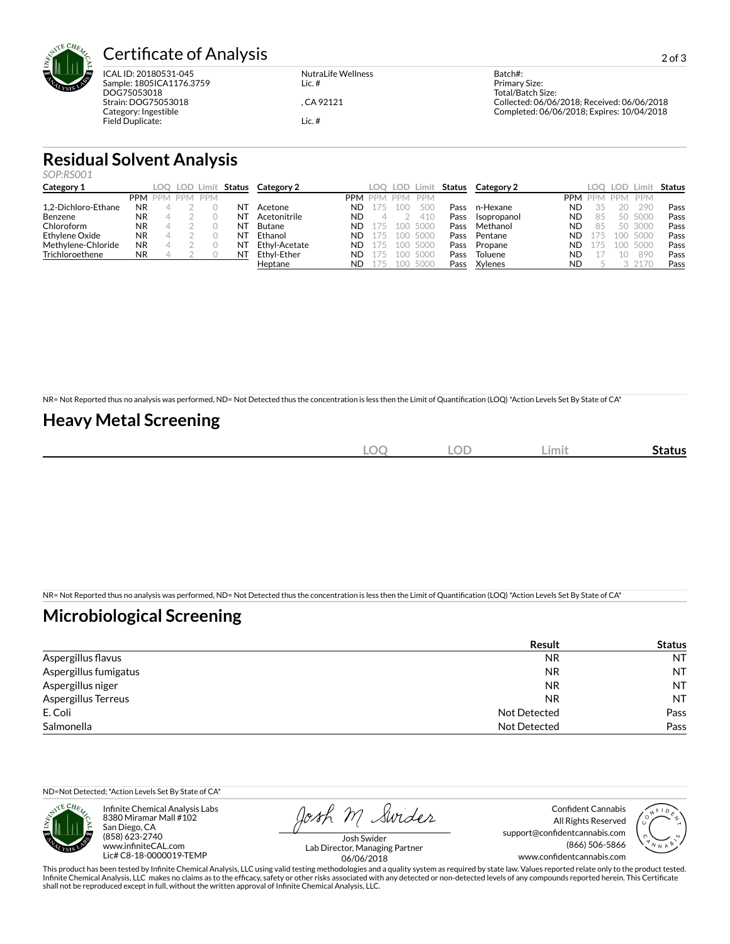

# Certificate of Analysis 2013

ICAL ID: 20180531-045 Sample: 1805ICA1176.3759 DOG75053018 Strain: DOG75053018 Category: Ingestible Field Duplicate:

NutraLife Wellness Lic. #

, CA 92121

Lic. #

Batch#: Primary Size: Total/Batch Size: Collected: 06/06/2018; Received: 06/06/2018 Completed: 06/06/2018; Expires: 10/04/2018

# **Residual Solvent Analysis**

*SOP:RS001*

| Category 1          |           | LOO     |         | LOD Limit Status | Category 2    |            |            |            | LOO LOD Limit | Status | Category 2  |           | LOO     | <b>LOD</b> | Limi       | <b>Status</b> |
|---------------------|-----------|---------|---------|------------------|---------------|------------|------------|------------|---------------|--------|-------------|-----------|---------|------------|------------|---------------|
|                     |           | PPM PPM | PPM PPM |                  |               | <b>PPM</b> | <b>PPM</b> | <b>PPM</b> | <b>PPM</b>    |        |             |           | PPM PPM | <b>PPM</b> | <b>PPM</b> |               |
| 1.2-Dichloro-Ethane | NR        |         |         | N1               | Acetone       | ND         |            | 100        | 50C           | Pass   | n-Hexane    | <b>ND</b> |         | 20         | 290        | Pass          |
| Benzene             | <b>NR</b> |         |         | N1               | Acetonitrile  | ND         |            |            | 410           | Pass   | Isopropanol | <b>ND</b> | 85      | 50.        | 5000       | Pass          |
| Chloroform          | <b>NR</b> |         |         | N1               | Butane        | ND         | 175        |            | 100 5000      | Pass   | Methanol    | <b>ND</b> | 85      |            | 50 3000    | Pass          |
| Ethylene Oxide      | <b>NR</b> |         |         | N1               | Ethanol       | ND         | 175        |            | 100 5000      | Pass   | Pentane     | <b>ND</b> | 175     |            | 100 5000   | Pass          |
| Methylene-Chloride  | NR        |         |         | N1               | Ethyl-Acetate | ND         | 175        |            | 100 5000      | Pass   | Propane     | ND        | 175     | 100.       | 5000       | Pass          |
| Trichloroethene     | <b>NR</b> |         |         | N1               | Ethvl-Ether   | ND         | 175        |            | 100 5000      | Pass   | Toluene     | <b>ND</b> |         | 10         | 890        | Pass          |
|                     |           |         |         |                  | Heptane       | ND         |            |            | 100 5000      | Pass   | Xylenes     | <b>ND</b> |         |            | 2170       | Pass          |

NR= Not Reported thus no analysis was performed, ND= Not Detected thus the concentration is less then the Limit of Quantification (LOQ) \*Action Levels Set By State of CA\*

## **Heavy Metal Screening**

| $\sim$ $\sim$<br>-)C<br>$\tilde{\phantom{a}}$ | <b>LOD</b> | ∟imit | <b>Status</b> |
|-----------------------------------------------|------------|-------|---------------|
| in the                                        |            |       |               |

NR= Not Reported thus no analysis was performed, ND= Not Detected thus the concentration is less then the Limit of Quantification (LOQ) \*Action Levels Set By State of CA\*

### **Microbiological Screening**

|                       | <b>Result</b>       | <b>Status</b> |
|-----------------------|---------------------|---------------|
| Aspergillus flavus    | <b>NR</b>           | <b>NT</b>     |
| Aspergillus fumigatus | <b>NR</b>           | <b>NT</b>     |
| Aspergillus niger     | <b>NR</b>           | <b>NT</b>     |
| Aspergillus Terreus   | <b>NR</b>           | <b>NT</b>     |
| E. Coli               | Not Detected        | Pass          |
| Salmonella            | <b>Not Detected</b> | Pass          |

ND=Not Detected; \*Action Levels Set By State of CA\*



Infinite Chemical Analysis Labs 8380 Miramar Mall #102 San Diego, CA (858) 623-2740 www.infiniteCAL.com Lic# C8-18-0000019-TEMP

Josh M Swider

Confident Cannabis All Rights Reserved support@confidentcannabis.com (866) 506-5866 www.confidentcannabis.com



Josh Swider Lab Director, Managing Partner 06/06/2018

This product has been tested by Infinite Chemical Analysis, LLC using valid testing methodologies and a quality system as required by state law. Values reported relate only to the product tested. Infinite Chemical Analysis, LLC makes no claims as to the efficacy, safety or other risks associated with any detected or non-detected levels of any compounds reported herein. This Certificate shall not be reproduced except in full, without the written approval of Infinite Chemical Analysis, LLC.